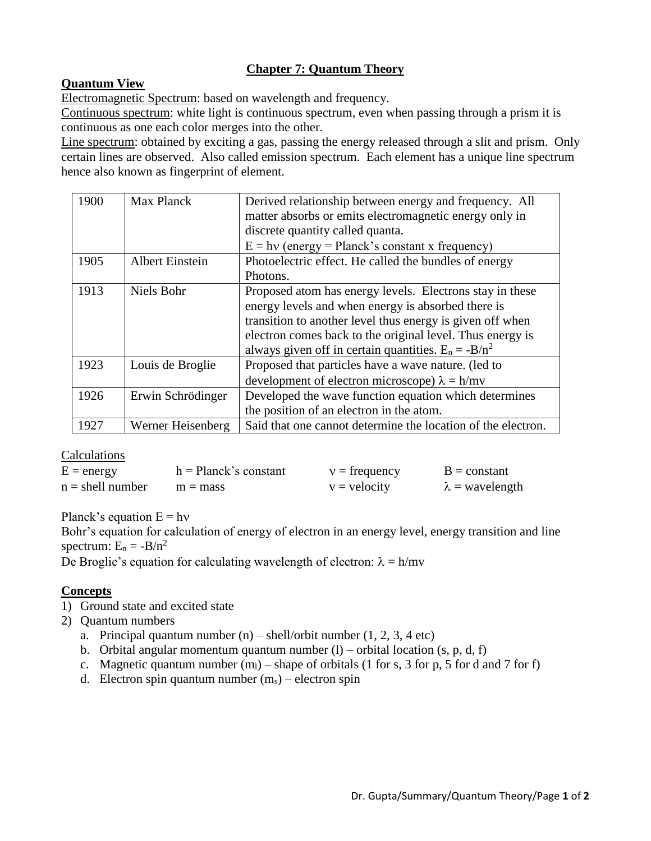### **Chapter 7: Quantum Theory**

#### **Quantum View**

Electromagnetic Spectrum: based on wavelength and frequency.

Continuous spectrum: white light is continuous spectrum, even when passing through a prism it is continuous as one each color merges into the other.

Line spectrum: obtained by exciting a gas, passing the energy released through a slit and prism. Only certain lines are observed. Also called emission spectrum. Each element has a unique line spectrum hence also known as fingerprint of element.

| 1900 | <b>Max Planck</b>      | Derived relationship between energy and frequency. All<br>matter absorbs or emits electromagnetic energy only in<br>discrete quantity called quanta.                                                                                                                                               |  |  |
|------|------------------------|----------------------------------------------------------------------------------------------------------------------------------------------------------------------------------------------------------------------------------------------------------------------------------------------------|--|--|
|      |                        | $E = hv$ (energy = Planck's constant x frequency)                                                                                                                                                                                                                                                  |  |  |
| 1905 | <b>Albert Einstein</b> | Photoelectric effect. He called the bundles of energy<br>Photons.                                                                                                                                                                                                                                  |  |  |
| 1913 | Niels Bohr             | Proposed atom has energy levels. Electrons stay in these<br>energy levels and when energy is absorbed there is<br>transition to another level thus energy is given off when<br>electron comes back to the original level. Thus energy is<br>always given off in certain quantities. $E_n = -B/n^2$ |  |  |
| 1923 | Louis de Broglie       | Proposed that particles have a wave nature. (led to<br>development of electron microscope) $\lambda = h/mv$                                                                                                                                                                                        |  |  |
| 1926 | Erwin Schrödinger      | Developed the wave function equation which determines<br>the position of an electron in the atom.                                                                                                                                                                                                  |  |  |
| 1927 | Werner Heisenberg      | Said that one cannot determine the location of the electron.                                                                                                                                                                                                                                       |  |  |

Calculations

| $E = energy$       | $h = Planck's constant$ | $v = \text{frequency}$ | $B = constant$         |
|--------------------|-------------------------|------------------------|------------------------|
| $n =$ shell number | $m = mass$              | $v =$ velocity         | $\lambda$ = wavelength |

Planck's equation  $E = hv$ 

Bohr's equation for calculation of energy of electron in an energy level, energy transition and line spectrum:  $E_n = -B/n^2$ 

De Broglie's equation for calculating wavelength of electron:  $\lambda = h/mv$ 

### **Concepts**

- 1) Ground state and excited state
- 2) Quantum numbers
	- a. Principal quantum number  $(n)$  shell/orbit number  $(1, 2, 3, 4$  etc)
	- b. Orbital angular momentum quantum number  $(l)$  orbital location  $(s, p, d, f)$
	- c. Magnetic quantum number  $(m<sub>l</sub>)$  shape of orbitals (1 for s, 3 for p, 5 for d and 7 for f)
	- d. Electron spin quantum number  $(m_s)$  electron spin